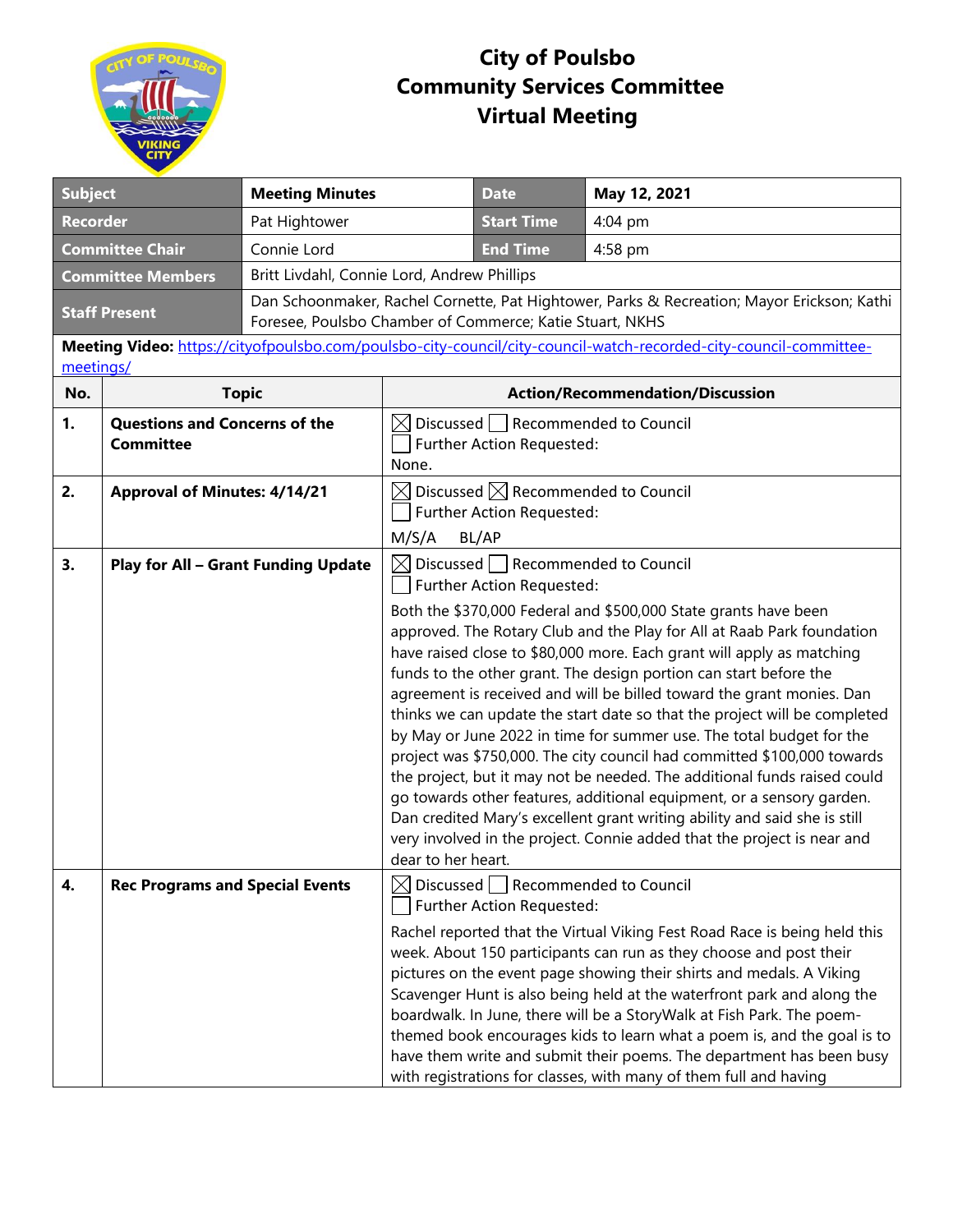

## **City of Poulsbo Community Services Committee Virtual Meeting**

| <b>Subject</b>                                                                                                                 |                                                          | <b>Meeting Minutes</b>                                                                                                                                 |                                                                                                | <b>Date</b>                                                                      | May 12, 2021                                                                                                                                                                                                                                                                                                                                                                                                                                                                                                                                                                                                                                                                                                                                                                                                                                                                                                  |  |
|--------------------------------------------------------------------------------------------------------------------------------|----------------------------------------------------------|--------------------------------------------------------------------------------------------------------------------------------------------------------|------------------------------------------------------------------------------------------------|----------------------------------------------------------------------------------|---------------------------------------------------------------------------------------------------------------------------------------------------------------------------------------------------------------------------------------------------------------------------------------------------------------------------------------------------------------------------------------------------------------------------------------------------------------------------------------------------------------------------------------------------------------------------------------------------------------------------------------------------------------------------------------------------------------------------------------------------------------------------------------------------------------------------------------------------------------------------------------------------------------|--|
| <b>Recorder</b>                                                                                                                |                                                          | Pat Hightower                                                                                                                                          |                                                                                                |                                                                                  | 4:04 pm                                                                                                                                                                                                                                                                                                                                                                                                                                                                                                                                                                                                                                                                                                                                                                                                                                                                                                       |  |
| Connie Lord<br><b>Committee Chair</b>                                                                                          |                                                          |                                                                                                                                                        | <b>End Time</b>                                                                                | 4:58 pm                                                                          |                                                                                                                                                                                                                                                                                                                                                                                                                                                                                                                                                                                                                                                                                                                                                                                                                                                                                                               |  |
| <b>Committee Members</b>                                                                                                       |                                                          | Britt Livdahl, Connie Lord, Andrew Phillips                                                                                                            |                                                                                                |                                                                                  |                                                                                                                                                                                                                                                                                                                                                                                                                                                                                                                                                                                                                                                                                                                                                                                                                                                                                                               |  |
| <b>Staff Present</b>                                                                                                           |                                                          | Dan Schoonmaker, Rachel Cornette, Pat Hightower, Parks & Recreation; Mayor Erickson; Kathi<br>Foresee, Poulsbo Chamber of Commerce; Katie Stuart, NKHS |                                                                                                |                                                                                  |                                                                                                                                                                                                                                                                                                                                                                                                                                                                                                                                                                                                                                                                                                                                                                                                                                                                                                               |  |
| Meeting Video: https://cityofpoulsbo.com/poulsbo-city-council/city-council-watch-recorded-city-council-committee-<br>meetings/ |                                                          |                                                                                                                                                        |                                                                                                |                                                                                  |                                                                                                                                                                                                                                                                                                                                                                                                                                                                                                                                                                                                                                                                                                                                                                                                                                                                                                               |  |
| No.                                                                                                                            | <b>Topic</b>                                             |                                                                                                                                                        | <b>Action/Recommendation/Discussion</b>                                                        |                                                                                  |                                                                                                                                                                                                                                                                                                                                                                                                                                                                                                                                                                                                                                                                                                                                                                                                                                                                                                               |  |
| 1.                                                                                                                             | <b>Questions and Concerns of the</b><br><b>Committee</b> |                                                                                                                                                        | Discussed   Recommended to Council<br>M<br>Further Action Requested:<br>None.                  |                                                                                  |                                                                                                                                                                                                                                                                                                                                                                                                                                                                                                                                                                                                                                                                                                                                                                                                                                                                                                               |  |
| 2.                                                                                                                             | <b>Approval of Minutes: 4/14/21</b>                      |                                                                                                                                                        | $\boxtimes$ Discussed $\boxtimes$ Recommended to Council<br>Further Action Requested:<br>BL/AP |                                                                                  |                                                                                                                                                                                                                                                                                                                                                                                                                                                                                                                                                                                                                                                                                                                                                                                                                                                                                                               |  |
| 3.                                                                                                                             | <b>Play for All - Grant Funding Update</b>               |                                                                                                                                                        | M/S/A<br>dear to her heart.                                                                    | $\boxtimes$ Discussed $\Box$ Recommended to Council<br>Further Action Requested: | Both the \$370,000 Federal and \$500,000 State grants have been<br>approved. The Rotary Club and the Play for All at Raab Park foundation<br>have raised close to \$80,000 more. Each grant will apply as matching<br>funds to the other grant. The design portion can start before the<br>agreement is received and will be billed toward the grant monies. Dan<br>thinks we can update the start date so that the project will be completed<br>by May or June 2022 in time for summer use. The total budget for the<br>project was \$750,000. The city council had committed \$100,000 towards<br>the project, but it may not be needed. The additional funds raised could<br>go towards other features, additional equipment, or a sensory garden.<br>Dan credited Mary's excellent grant writing ability and said she is still<br>very involved in the project. Connie added that the project is near and |  |
| 4.                                                                                                                             | <b>Rec Programs and Special Events</b>                   |                                                                                                                                                        |                                                                                                | $\boxtimes$ Discussed Recommended to Council<br>Further Action Requested:        | Rachel reported that the Virtual Viking Fest Road Race is being held this<br>week. About 150 participants can run as they choose and post their<br>pictures on the event page showing their shirts and medals. A Viking<br>Scavenger Hunt is also being held at the waterfront park and along the<br>boardwalk. In June, there will be a StoryWalk at Fish Park. The poem-<br>themed book encourages kids to learn what a poem is, and the goal is to<br>have them write and submit their poems. The department has been busy<br>with registrations for classes, with many of them full and having                                                                                                                                                                                                                                                                                                            |  |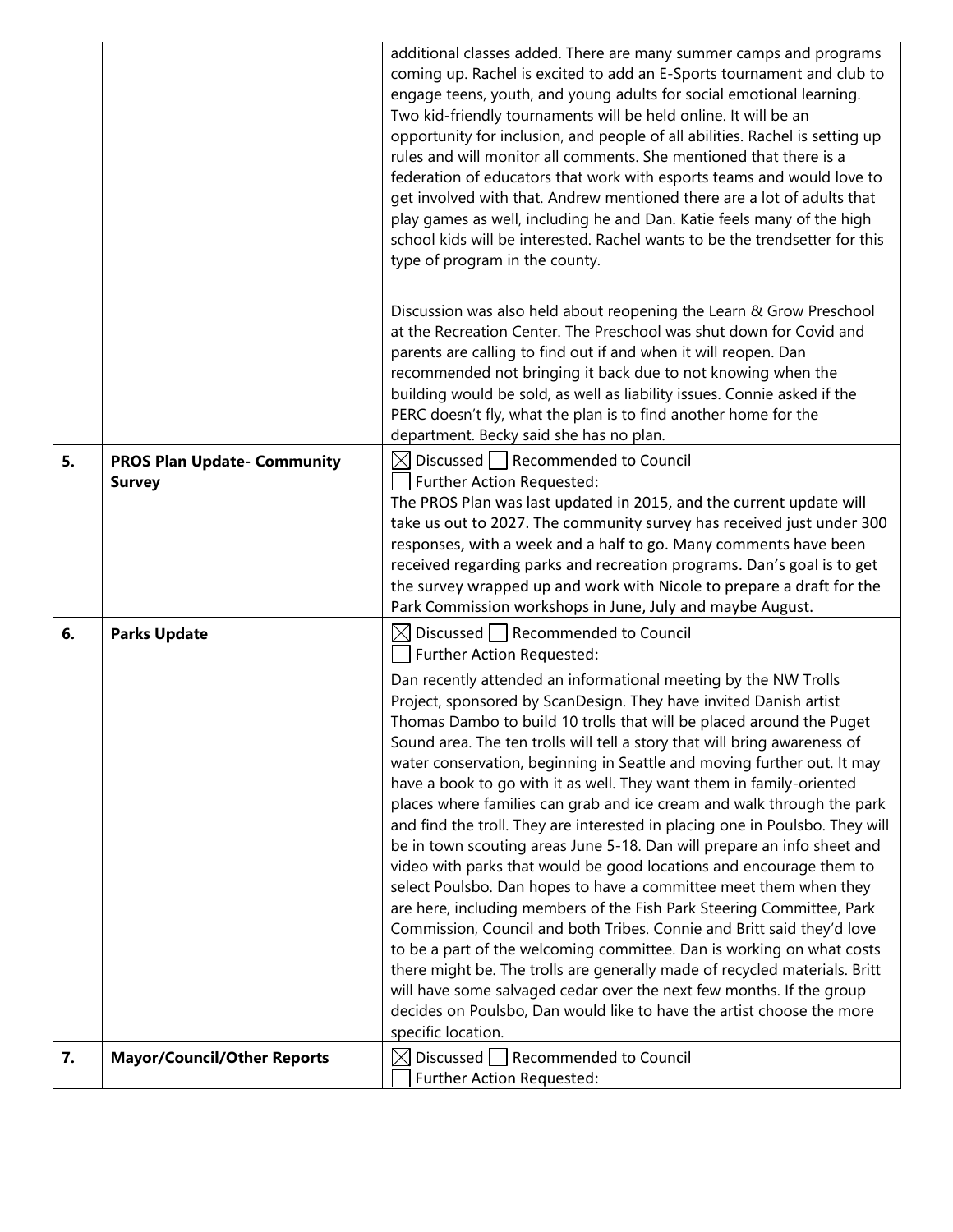|    |                                                     | additional classes added. There are many summer camps and programs<br>coming up. Rachel is excited to add an E-Sports tournament and club to<br>engage teens, youth, and young adults for social emotional learning.<br>Two kid-friendly tournaments will be held online. It will be an<br>opportunity for inclusion, and people of all abilities. Rachel is setting up<br>rules and will monitor all comments. She mentioned that there is a<br>federation of educators that work with esports teams and would love to<br>get involved with that. Andrew mentioned there are a lot of adults that<br>play games as well, including he and Dan. Katie feels many of the high<br>school kids will be interested. Rachel wants to be the trendsetter for this<br>type of program in the county.                                                                                                                                                                                                                                                                                                                                                                                                                                                                                                                                                                                                 |
|----|-----------------------------------------------------|-----------------------------------------------------------------------------------------------------------------------------------------------------------------------------------------------------------------------------------------------------------------------------------------------------------------------------------------------------------------------------------------------------------------------------------------------------------------------------------------------------------------------------------------------------------------------------------------------------------------------------------------------------------------------------------------------------------------------------------------------------------------------------------------------------------------------------------------------------------------------------------------------------------------------------------------------------------------------------------------------------------------------------------------------------------------------------------------------------------------------------------------------------------------------------------------------------------------------------------------------------------------------------------------------------------------------------------------------------------------------------------------------|
|    |                                                     | Discussion was also held about reopening the Learn & Grow Preschool<br>at the Recreation Center. The Preschool was shut down for Covid and<br>parents are calling to find out if and when it will reopen. Dan<br>recommended not bringing it back due to not knowing when the<br>building would be sold, as well as liability issues. Connie asked if the<br>PERC doesn't fly, what the plan is to find another home for the<br>department. Becky said she has no plan.                                                                                                                                                                                                                                                                                                                                                                                                                                                                                                                                                                                                                                                                                                                                                                                                                                                                                                                       |
| 5. | <b>PROS Plan Update- Community</b><br><b>Survey</b> | $\boxtimes$ Discussed   Recommended to Council<br>Further Action Requested:<br>The PROS Plan was last updated in 2015, and the current update will<br>take us out to 2027. The community survey has received just under 300<br>responses, with a week and a half to go. Many comments have been<br>received regarding parks and recreation programs. Dan's goal is to get<br>the survey wrapped up and work with Nicole to prepare a draft for the<br>Park Commission workshops in June, July and maybe August.                                                                                                                                                                                                                                                                                                                                                                                                                                                                                                                                                                                                                                                                                                                                                                                                                                                                               |
| 6. | <b>Parks Update</b>                                 | $\boxtimes$ Discussed   Recommended to Council<br>Further Action Requested:<br>Dan recently attended an informational meeting by the NW Trolls<br>Project, sponsored by ScanDesign. They have invited Danish artist<br>Thomas Dambo to build 10 trolls that will be placed around the Puget<br>Sound area. The ten trolls will tell a story that will bring awareness of<br>water conservation, beginning in Seattle and moving further out. It may<br>have a book to go with it as well. They want them in family-oriented<br>places where families can grab and ice cream and walk through the park<br>and find the troll. They are interested in placing one in Poulsbo. They will<br>be in town scouting areas June 5-18. Dan will prepare an info sheet and<br>video with parks that would be good locations and encourage them to<br>select Poulsbo. Dan hopes to have a committee meet them when they<br>are here, including members of the Fish Park Steering Committee, Park<br>Commission, Council and both Tribes. Connie and Britt said they'd love<br>to be a part of the welcoming committee. Dan is working on what costs<br>there might be. The trolls are generally made of recycled materials. Britt<br>will have some salvaged cedar over the next few months. If the group<br>decides on Poulsbo, Dan would like to have the artist choose the more<br>specific location. |
| 7. | <b>Mayor/Council/Other Reports</b>                  | Discussed   Recommended to Council<br>M<br>Further Action Requested:                                                                                                                                                                                                                                                                                                                                                                                                                                                                                                                                                                                                                                                                                                                                                                                                                                                                                                                                                                                                                                                                                                                                                                                                                                                                                                                          |